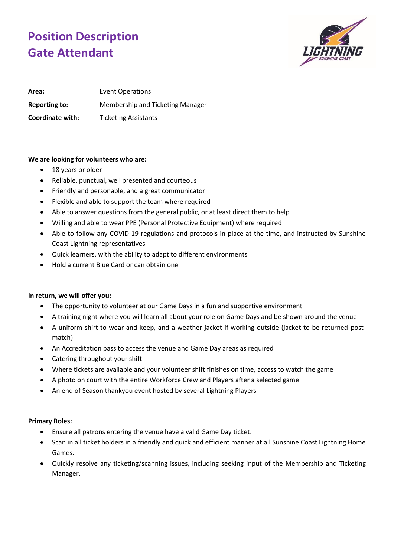## **Position Description Gate Attendant**



Area: Event Operations **Reporting to:** Membership and Ticketing Manager **Coordinate with:** Ticketing Assistants

## **We are looking for volunteers who are:**

- 18 years or older
- Reliable, punctual, well presented and courteous
- Friendly and personable, and a great communicator
- Flexible and able to support the team where required
- Able to answer questions from the general public, or at least direct them to help
- Willing and able to wear PPE (Personal Protective Equipment) where required
- Able to follow any COVID-19 regulations and protocols in place at the time, and instructed by Sunshine Coast Lightning representatives
- Quick learners, with the ability to adapt to different environments
- Hold a current Blue Card or can obtain one

## **In return, we will offer you:**

- The opportunity to volunteer at our Game Days in a fun and supportive environment
- A training night where you will learn all about your role on Game Days and be shown around the venue
- A uniform shirt to wear and keep, and a weather jacket if working outside (jacket to be returned postmatch)
- An Accreditation pass to access the venue and Game Day areas as required
- Catering throughout your shift
- Where tickets are available and your volunteer shift finishes on time, access to watch the game
- A photo on court with the entire Workforce Crew and Players after a selected game
- An end of Season thankyou event hosted by several Lightning Players

## **Primary Roles:**

- Ensure all patrons entering the venue have a valid Game Day ticket.
- Scan in all ticket holders in a friendly and quick and efficient manner at all Sunshine Coast Lightning Home Games.
- Quickly resolve any ticketing/scanning issues, including seeking input of the Membership and Ticketing Manager.